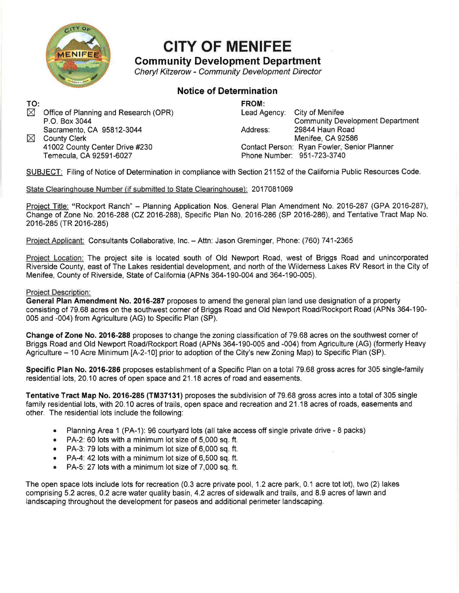

## **CITY OF MENIFEE**

**Community Development Department** 

Cheryl Kitzerow - Community Development Director

### **Notice of Determination**

**TO:**  Office of Planning and Research (OPR) P.O. Box 3044 Sacramento, CA 95812-3044

 $\boxtimes$  County Clerk 41002 County Center Drive #230 Temecula, CA 92591-6027

**FROM:**  City of Menifee Community Development Department Address: 29844 Haun Road Menifee, CA 92586 Contact Person: Ryan Fowler, Senior Planner Phone Number: 951-723-3740

SUBJECT: Filing of Notice of Determination in compliance with Section 21152 of the California Public Resources Code.

#### State Clearinghouse Number (if submitted to State Clearinghouse): 2017081069

Project Title: "Rockport Ranch" - Planning Application Nos. General Plan Amendment No. 2016-287 (GPA 2016-287), Change of Zone No. 2016-288 (CZ 2016-288), Specific Plan No. 2016-286 (SP 2016-286), and Tentative Tract Map No. 2016-285 (TR 2016-285)

Project Applicant: Consultants Collaborative, Inc. - Attn: Jason Greminger, Phone: (760) 741-2365

Project Location: The project site is located south of Old Newport Road, west of Briggs Road and unincorporated Riverside County, east of The Lakes residential development, and north of the Wilderness Lakes RV Resort in the City of Menifee, County of Riverside, State of California (APNs 364-190-004 and 364-190-005).

#### Project Description:

**General Plan Amendment No. 2016-287** proposes to amend the general plan land use designation of a property consisting of 79.68 acres on the southwest corner of Briggs Road and Old Newport Road/Rockport Road (APNs 364-190- 005 and -004) from Agriculture (AG) to Specific Plan (SP).

**Change of Zone No. 2016-288** proposes to change the zoning classification of 79.68 acres on the southwest corner of Briggs Road and Old Newport Road/Rockport Road (APNs 364-190-005 and -004) from Agriculture (AG) (formerly Heavy Agriculture - 10 Acre Minimum [A-2-10] prior to adoption of the City's new Zoning Map) to Specific Plan (SP).

**Specific Plan No. 2016-286** proposes establishment of a Specific Plan on a total 79.68 gross acres for 305 single-family residential lots, 20.10 acres of open space and 21.18 acres of road and easements.

**Tentative Tract Map No. 2016-285 (TM37131)** proposes the subdivision of 79.68 gross acres into a total of 305 single family residential lots, with 20.10 acres of trails, open space and recreation and 21 .18 acres of roads, easements and other. The residential lots include the following:

- Planning Area 1 (PA-1): 96 courtyard lots (all take access off single private drive 8 packs)
- PA-2: 60 lots with a minimum lot size of 5,000 sq. ft.
- PA-3: 79 lots with a minimum lot size of 6,000 sq. ft.
- PA-4: 42 lots with a minimum lot size of 6,500 sq. ft.
- PA-5: 27 lots with a minimum lot size of 7,000 sq. ft.

The open space lots include lots for recreation (0.3 acre private pool, 1.2 acre park, 0.1 acre tot lot), two (2) lakes comprising 5.2 acres, 0.2 acre water quality basin, 4.2 acres of sidewalk and trails, and 8.9 acres of lawn and landscaping throughout the development for paseos and additional perimeter landscaping.